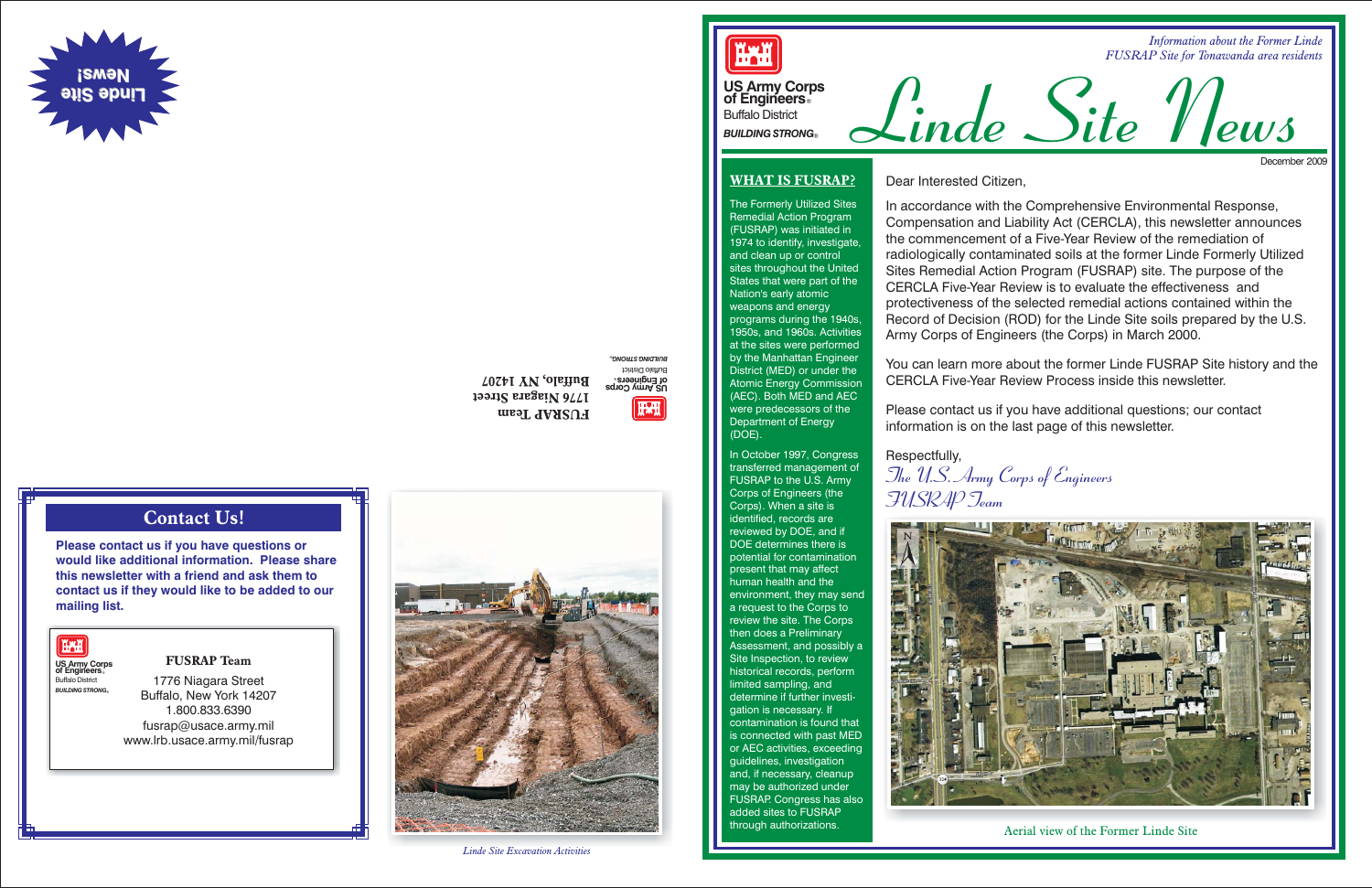

*Information about the Former Linde FUSRAP Site for Tonawanda area residents*

## **Contact Us!**

**Please contact us if you have questions or would like additional information. Please sharethis newsletter with a friend and ask them tocontact us if they would like to be added to our mailing list.**



® *BUILDING STRONG* Buffalo District **US Army Corps** ® **of Engineers TATI** 

**FUSRAP Team**1776 Niagara Street

Buffalo, New York 14207 1.800.833.6390fusrap@usace.army.mil www.lrb.usace.army.mil/fusrap

**FUSRAP Team 1776 Niagara Street Buffalo, NY 14207**



# **US Army Corps of Engineers**® Buffalo District





**US Army Corps of Engineers**® Buffalo District *BUILDING STRONG*®

#### **WHAT IS FUSRAP?**

**HAH** 

The Formerly Utilized Sites Remedial Action Program (FUSRAP) was initiated in 1974 to identify, investigate, and clean up or control sites throughout the United States that were part of the Nation's early atomic weapons and energy programs during the 1940s, 1950s, and 1960s. Activities at the sites were performed by the Manhattan Engineer District (MED) or under the Atomic Energy Commission (AEC). Both MED and AEC were predecessors of the Department of Energy (DOE).





In October 1997, Congress transferred management of FUSRAP to the U.S. Army Corps of Engineers (the Corps). When <sup>a</sup> site is identified, records are reviewed by DOE, and if DOE determines there ispotential for contamination present that may affect human health and theenvironment, they may send <sup>a</sup> request to the Corps to review the site. The Corps then does <sup>a</sup> Preliminary Assessment, and possibly <sup>a</sup> Site Inspection, to review historical records, perform limited sampling, and determine if further investigation is necessary. If contamination is found thatis connected with past MED or AEC activities, exceeding guidelines, investigation and, if necessary, cleanup may be authorized under FUSRAP. Congress has also added sites to FUSRAP through authorizations.

**The U.S. Army Corps of Engineers FUSRAP Team** Respectfully,



Dear Interested Citizen,

In accordance with the Comprehensive Environmental Response, Compensation and Liability Act (CERCLA), this newsletter announces the commencement of a Five-Year Review of the remediation ofradiologically contaminated soils at the former Linde Formerly Utilized Sites Remedial Action Program (FUSRAP) site. The purpose of the CERCLA Five-Year Review is to evaluate the effectiveness andprotectiveness of the selected remedial actions contained within the Record of Decision (ROD) for the Linde Site soils prepared by the U.S. Army Corps of Engineers (the Corps) in March 2000.

You can learn more about the former Linde FUSRAP Site history and the CERCLA Five-Year Review Process inside this newsletter.

Please contact us if you have additional questions; our contact information is on the last page of this newsletter.

Aerial view of the Former Linde Site